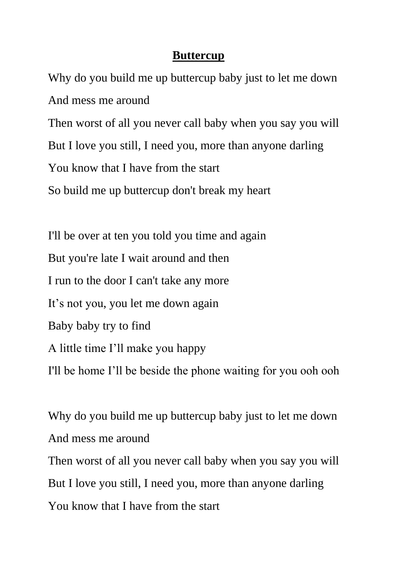## **Buttercup**

Why do you build me up buttercup baby just to let me down And mess me around

Then worst of all you never call baby when you say you will But I love you still, I need you, more than anyone darling You know that I have from the start So build me up buttercup don't break my heart

I'll be over at ten you told you time and again But you're late I wait around and then I run to the door I can't take any more It's not you, you let me down again Baby baby try to find A little time I'll make you happy I'll be home I'll be beside the phone waiting for you ooh ooh

Why do you build me up buttercup baby just to let me down And mess me around Then worst of all you never call baby when you say you will But I love you still, I need you, more than anyone darling You know that I have from the start